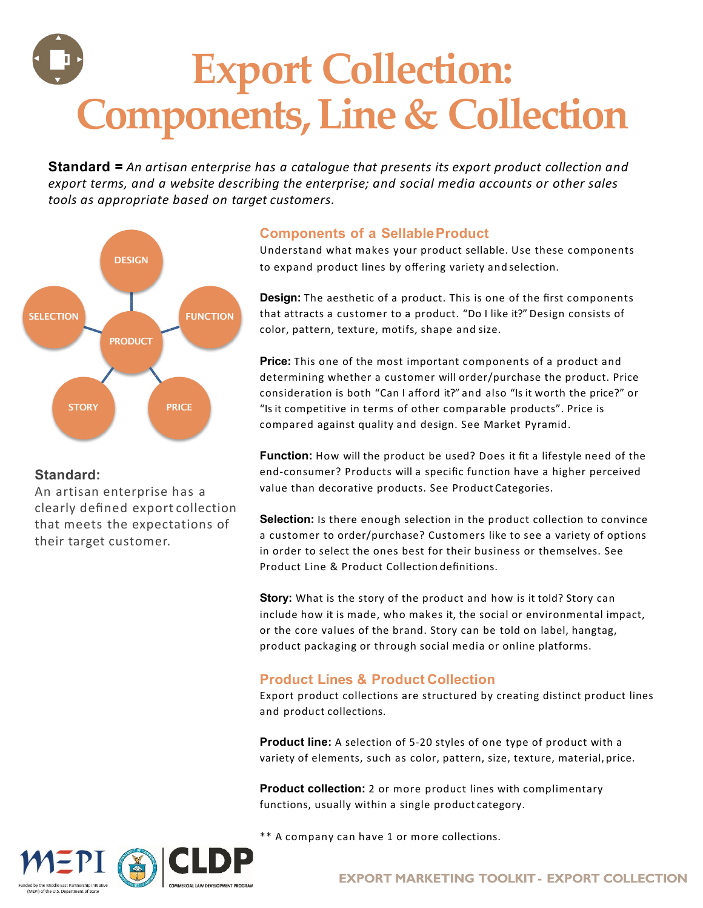# **Export Collection: Components, Line & Collection**

**Standard =** *An artisan enterprise has a catalogue that presents its export product collection and export terms, and a website describing the enterprise; and social media accounts or other sales tools as appropriate based on target customers.*



### **Standard:**

An artisan enterprise has a clearly defined export collection that meets the expectations of their target customer.

## **Components of a SellableProduct**

to expand product lines by offering variety and selection. Understand what makes your product sellable. Use these components

**Design:** The aesthetic of a product. This is one of the first components that attracts a customer to a product. "Do I like it?" Design consists of color, pattern, texture, motifs, shape and size.

**Price:** This one of the most important components of a product and determining whether a customer will order/purchase the product. Price consideration is both "Can I afford it?" and also "Is it worth the price?" or "Is it competitive in terms of other comparable products". Price is compared against quality and design. See Market Pyramid.

**Function:** How will the product be used? Does it fit a lifestyle need of the end-consumer? Products will a specific function have a higher perceived value than decorative products. See Product Categories.

Selection: Is there enough selection in the product collection to convince a customer to order/purchase? Customers like to see a variety of options in order to select the ones best for their business or themselves. See Product Line & Product Collection definitions.

**Story:** What is the story of the product and how is it told? Story can include how it is made, who makes it, the social or environmental impact, or the core values of the brand. Story can be told on label, hangtag, product packaging or through social media or online platforms.

### **Product Lines & Product Collection**

Export product collections are structured by creating distinct product lines and product collections.

**Product line:** A selection of 5-20 styles of one type of product with a variety of elements, such as color, pattern, size, texture, material, price.

**Product collection:** 2 or more product lines with complimentary functions, usually within a single product category.

\*\* A company can have 1 or more collections.



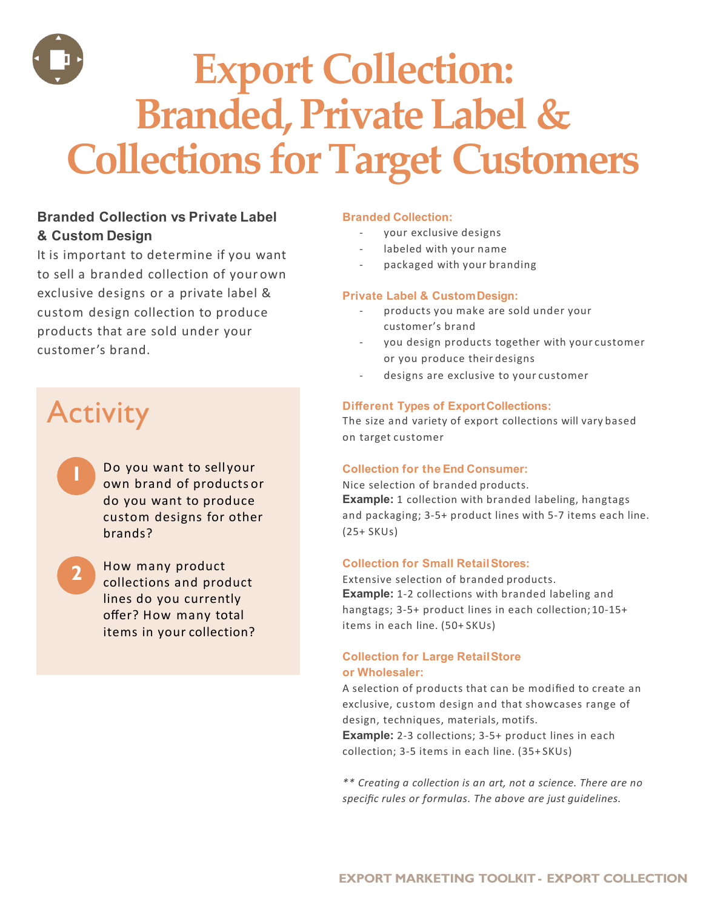

## **Branded Collection vs Private Label & Custom Design**

It is important to determine if you want to sell a branded collection of your own exclusive designs or a private label & custom design collection to produce products that are sold under your customer's brand.

# **Activity**

**2**

- own brand of products or do you want to produce custom designs for other brands? Do you want to sell your **1**
- How many product collections and product lines do you currently offer? How many total items in your collection?

#### **Branded Collection:**

- your exclusive designs
- labeled with your name
- packaged with your branding

#### **Private Label & CustomDesign:**

- products you make are sold under your customer's brand
- you design products together with your customer or you produce their designs
- designs are exclusive to your customer

#### **Different Types of ExportCollections:**

The size and variety of export collections will vary based on target customer

#### **Collection for the End Consumer:**

Nice selection of branded products. **Example:** 1 collection with branded labeling, hangtags and packaging; 3-5+ product lines with 5-7 items each line. (25+ SKUs)

#### **Collection for Small RetailStores:**

Extensive selection of branded products. **Example:** 1-2 collections with branded labeling and hangtags; 3-5+ product lines in each collection; 10-15+ items in each line. (50+ SKUs)

#### **Collection for Large RetailStore or Wholesaler:**

A selection of products that can be modified to create an exclusive, custom design and that showcases range of design, techniques, materials, motifs.

**Example:** 2-3 collections; 3-5+ product lines in each collection; 3-5 items in each line. (35+ SKUs)

*\*\* Creating a collection is an art, not a science. There are no specific rules or formulas. The above are just guidelines.*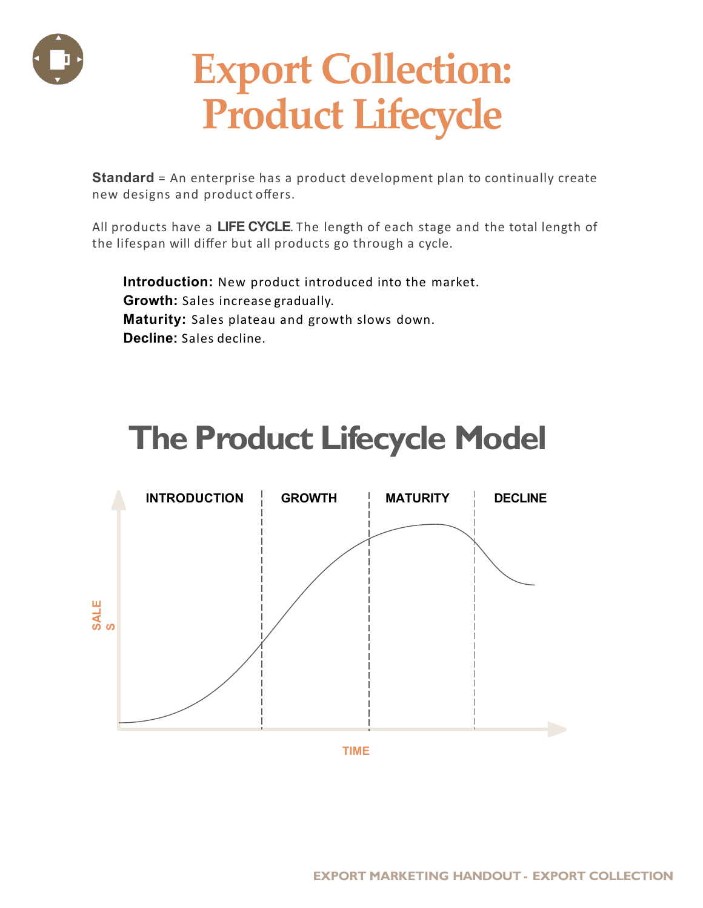

# **Export Collection: Product Lifecycle**

**Standard** = An enterprise has a product development plan to continually create new designs and product offers.

All products have a **LIFE CYCLE**. The length of each stage and the total length of the lifespan will differ but all products go through a cycle.

**Introduction:** New product introduced into the market. **Growth:** Sales increase gradually. **Maturity:** Sales plateau and growth slows down. **Decline:** Sales decline.

# **The Product Lifecycle Model**